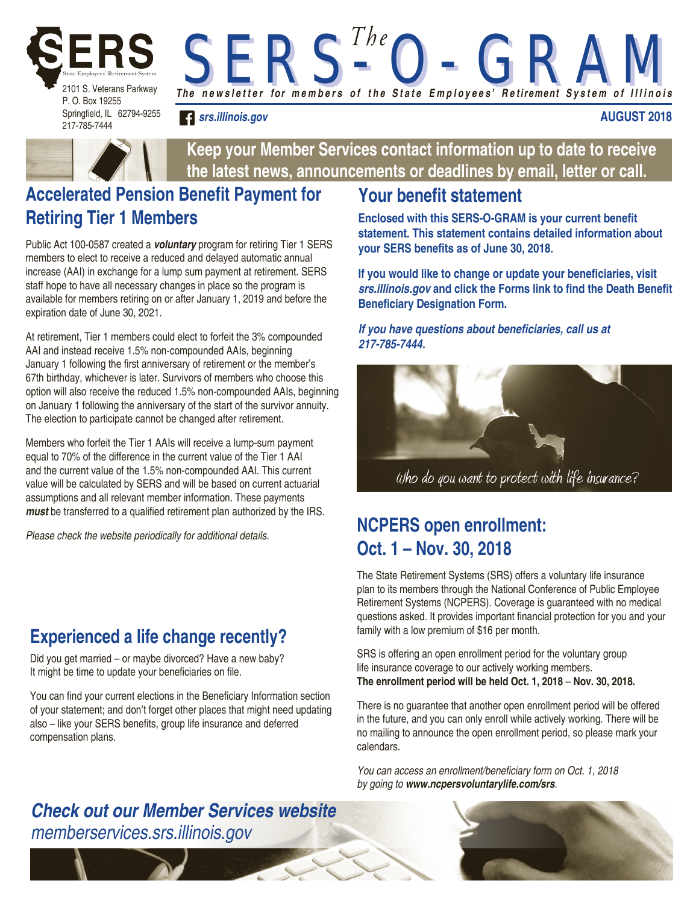

Springfield, IL 62794-9255 217-785-7444

**AUGUST 2018**



**Keep your Member Services contact information up to date to receive the latest news, announcements or deadlines by email, letter or call.**

*The n e w s l e t t e r for m e m b e r s o f t h e S t a t e E m p l o y e e s' R e tirement S y s t e m o f I l l i n o i s* 

*S E R S - O - G R A M S E R S - O - G R A M T h e*

## **Accelerated Pension Benefit Payment for Retiring Tier 1 Members**

*srs.illinois.gov*

Public Act 100-0587 created a *voluntary* program for retiring Tier 1 SERS members to elect to receive a reduced and delayed automatic annual increase (AAI) in exchange for a lump sum payment at retirement. SERS staff hope to have all necessary changes in place so the program is available for members retiring on or after January 1, 2019 and before the expiration date of June 30, 2021.

At retirement, Tier 1 members could elect to forfeit the 3% compounded AAI and instead receive 1.5% non-compounded AAIs, beginning January 1 following the first anniversary of retirement or the member's 67th birthday, whichever is later. Survivors of members who choose this option will also receive the reduced 1.5% non-compounded AAIs, beginning on January 1 following the anniversary of the start of the survivor annuity. The election to participate cannot be changed after retirement.

Members who forfeit the Tier 1 AAIs will receive a lump-sum payment equal to 70% of the difference in the current value of the Tier 1 AAI and the current value of the 1.5% non-compounded AAI. This current value will be calculated by SERS and will be based on current actuarial assumptions and all relevant member information. These payments *must* be transferred to a qualified retirement plan authorized by the IRS.

# **Experienced a life change recently?**

Did you get married – or maybe divorced? Have a new baby? It might be time to update your beneficiaries on file.

You can find your current elections in the Beneficiary Information section of your statement; and don't forget other places that might need updating also – like your SERS benefits, group life insurance and deferred compensation plans.

### **Your benefit statement**

**Enclosed with this SERS-O-GRAM is your current benefit statement. This statement contains detailed information about your SERS benefits as of June 30, 2018.** 

**If you would like to change or update your beneficiaries, visit**  *srs.illinois.gov* **and click the Forms link to find the Death Benefit Beneficiary Designation Form.**

#### **If you have questions about beneficiaries, call us at**  *217-785-7444.*



## *Please check the website periodically for additional details.* **NCPERS open enrollment: Oct. 1 – Nov. 30, 2018**

The State Retirement Systems (SRS) offers a voluntary life insurance plan to its members through the National Conference of Public Employee Retirement Systems (NCPERS). Coverage is guaranteed with no medical questions asked. It provides important financial protection for you and your family with a low premium of \$16 per month.

SRS is offering an open enrollment period for the voluntary group life insurance coverage to our actively working members. **The enrollment period will be held Oct. 1, 2018** – **Nov. 30, 2018.** 

There is no guarantee that another open enrollment period will be offered in the future, and you can only enroll while actively working. There will be no mailing to announce the open enrollment period, so please mark your calendars.

You can access an enrollment/beneficiary form on Oct. 1, 2018 *by going to www.ncpersvoluntarylife.com/srs.*

#### *Check out our Member Services website memberservices.srs.illinois.gov*

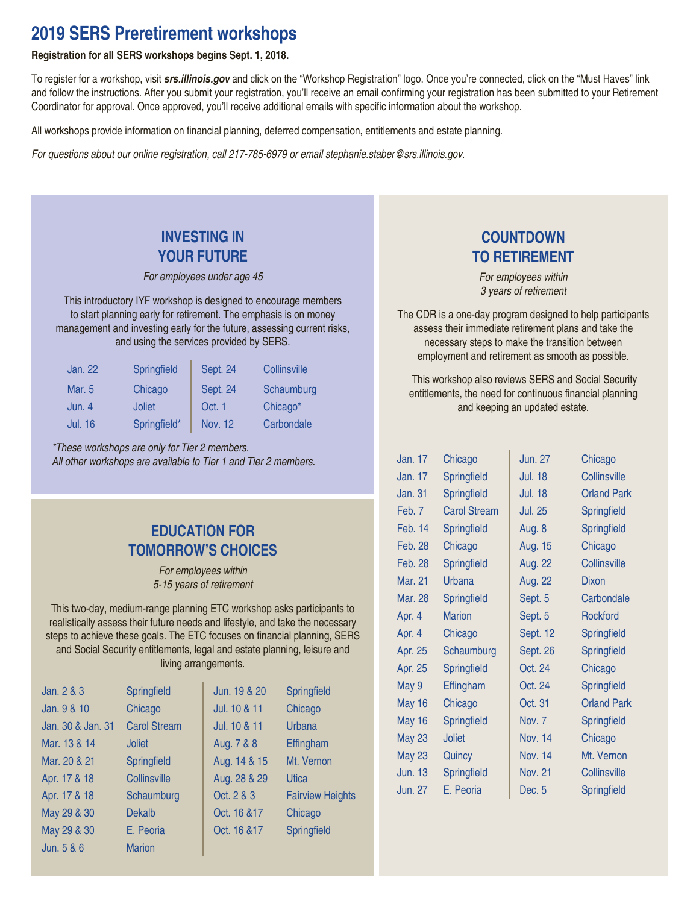#### **2019 SERS Preretirement workshops**

#### **Registration for all SERS workshops begins Sept. 1, 2018.**

To register for a workshop, visit *srs.illinois.gov* and click on the "Workshop Registration" logo. Once you're connected, click on the "Must Haves" link and follow the instructions. After you submit your registration, you'll receive an email confirming your registration has been submitted to your Retirement Coordinator for approval. Once approved, you'll receive additional emails with specific information about the workshop.

All workshops provide information on financial planning, deferred compensation, entitlements and estate planning.

For questions about our online registration, call 217-785-6979 or email stephanie.staber@srs.illinois.gov.

#### **INVESTING IN YOUR FUTURE**

*For employees under age 45*

This introductory IYF workshop is designed to encourage members to start planning early for retirement. The emphasis is on money management and investing early for the future, assessing current risks, and using the services provided by SERS.

| Jan. 22        | Springfield   | Sept. 24        | Collinsville |
|----------------|---------------|-----------------|--------------|
| Mar. 5         | Chicago       | <b>Sept. 24</b> | Schaumburg   |
| Jun. 4         | <b>Joliet</b> | Oct. 1          | Chicago*     |
| <b>Jul. 16</b> | Springfield*  | Nov. 12         | Carbondale   |

\*These workshops are only for Tier 2 members. All other workshops are available to Tier 1 and Tier 2 members.

#### **EDUCATION FOR TOMORROW'S CHOICES**

*For employees within*  5-15 years of retirement

This two-day, medium-range planning ETC workshop asks participants to realistically assess their future needs and lifestyle, and take the necessary steps to achieve these goals. The ETC focuses on financial planning, SERS and Social Security entitlements, legal and estate planning, leisure and living arrangements.

| Jan. 2 & 3        | Springfield         | Jun. 19 & 20 | Springfield             |
|-------------------|---------------------|--------------|-------------------------|
| Jan. 9 & 10       | Chicago             | Jul. 10 & 11 | Chicago                 |
| Jan. 30 & Jan. 31 | <b>Carol Stream</b> | Jul. 10 & 11 | Urbana                  |
| Mar. 13 & 14      | <b>Joliet</b>       | Aug. 7 & 8   | Effingham               |
| Mar. 20 & 21      | Springfield         | Aug. 14 & 15 | Mt. Vernon              |
| Apr. 17 & 18      | Collinsville        | Aug. 28 & 29 | Utica                   |
| Apr. 17 & 18      | Schaumburg          | Oct. 2 & 3   | <b>Fairview Heights</b> |
| May 29 & 30       | <b>Dekalb</b>       | Oct. 16 & 17 | Chicago                 |
| May 29 & 30       | E. Peoria           | Oct. 16 & 17 | Springfield             |
| Jun. $5 & 6$      | <b>Marion</b>       |              |                         |

#### **COUNTDOWN TO RETIREMENT**

*For employees within 3 years of retirement*

The CDR is a one-day program designed to help participants assess their immediate retirement plans and take the necessary steps to make the transition between employment and retirement as smooth as possible.

 This workshop also reviews SERS and Social Security entitlements, the need for continuous financial planning and keeping an updated estate.

| Jan. 17        | Chicago             | <b>Jun. 27</b> | Chicago             |
|----------------|---------------------|----------------|---------------------|
| Jan. 17        | Springfield         | <b>Jul. 18</b> | <b>Collinsville</b> |
| <b>Jan. 31</b> | Springfield         | <b>Jul. 18</b> | <b>Orland Park</b>  |
| Feb. 7         | <b>Carol Stream</b> | <b>Jul. 25</b> | Springfield         |
| Feb. 14        | Springfield         | Aug. 8         | Springfield         |
| <b>Feb. 28</b> | Chicago             | Aug. 15        | Chicago             |
| Feb. 28        | Springfield         | <b>Aug. 22</b> | <b>Collinsville</b> |
| <b>Mar. 21</b> | Urbana              | <b>Aug. 22</b> | Dixon               |
| Mar. 28        | Springfield         | Sept. 5        | Carbondale          |
| Apr. 4         | <b>Marion</b>       | Sept. 5        | <b>Rockford</b>     |
| Apr. 4         | Chicago             | Sept. 12       | Springfield         |
| Apr. 25        | Schaumburg          | Sept. 26       | Springfield         |
| Apr. 25        | Springfield         | Oct. 24        | Chicago             |
| May 9          | Effingham           | Oct. 24        | Springfield         |
| <b>May 16</b>  | Chicago             | Oct. 31        | <b>Orland Park</b>  |
| <b>May 16</b>  | Springfield         | Nov. 7         | Springfield         |
| <b>May 23</b>  | <b>Joliet</b>       | <b>Nov. 14</b> | Chicago             |
| <b>May 23</b>  | Quincy              | <b>Nov. 14</b> | Mt. Vernon          |
| <b>Jun. 13</b> | Springfield         | <b>Nov. 21</b> | <b>Collinsville</b> |
| <b>Jun. 27</b> | E. Peoria           | Dec. 5         | Springfield         |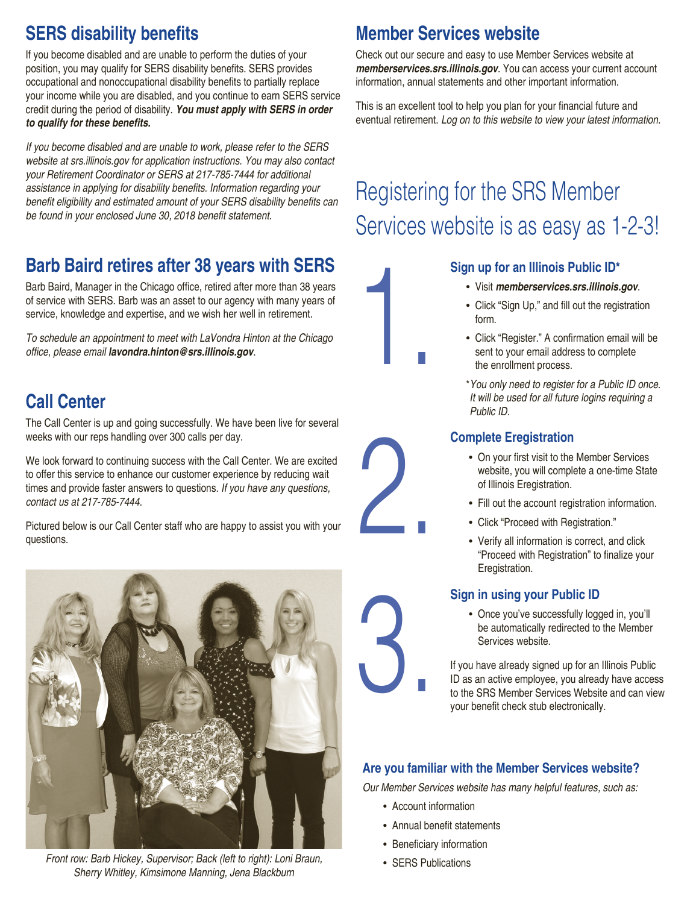# **SERS disability benefits**

If you become disabled and are unable to perform the duties of your position, you may qualify for SERS disability benefits. SERS provides occupational and nonoccupational disability benefits to partially replace your income while you are disabled, and you continue to earn SERS service credit during the period of disability. *You must apply with SERS in order*  **to qualify for these benefits.**

If you become disabled and are unable to work, please refer to the SERS *website at srs.illinois.gov for application instructions. You may also contact*  your Retirement Coordinator or SERS at 217-785-7444 for additional assistance in applying for disability benefits. Information regarding your benefit eligibility and estimated amount of your SERS disability benefits can be found in your enclosed June 30, 2018 benefit statement.

## **Barb Baird retires after 38 years with SERS**

Barb Baird, Manager in the Chicago office, retired after more than 38 years of service with SERS. Barb was an asset to our agency with many years of service, knowledge and expertise, and we wish her well in retirement.

To schedule an appointment to meet with LaVondra Hinton at the Chicago office, please email *lavondra.hinton@srs.illinois.gov*.

## **Call Center**

The Call Center is up and going successfully. We have been live for several weeks with our reps handling over 300 calls per day.

We look forward to continuing success with the Call Center. We are excited to offer this service to enhance our customer experience by reducing wait times and provide faster answers to questions. If you have any questions, contact us at 217-785-7444.

Pictured below is our Call Center staff who are happy to assist you with your questions.



Front row: Barb Hickey, Supervisor; Back (left to right): Loni Braun, state of the SERS Publications Sherry Whitley, Kimsimone Manning, Jena Blackburn

### **Member Services website**

1.

2.

3.

Check out our secure and easy to use Member Services website at *memberservices.srs.illinois.gov*. You can access your current account information, annual statements and other important information.

This is an excellent tool to help you plan for your financial future and eventual retirement. *Log on to this website to view your latest information.*

# Registering for the SRS Member Services website is as easy as 1-2-3!

#### **Sign up for an Illinois Public ID\***

- Visit *memberservices.srs.illinois.gov*.
- Click "Sign Up," and fill out the registration form.
- Click "Register." A confirmation email will be sent to your email address to complete the enrollment process.
- \**You only need to register for a Public ID once. It will be used for all future logins requiring a Public ID.*



- On your first visit to the Member Services website, you will complete a one-time State of Illinois Eregistration.
- Fill out the account registration information.
- Click "Proceed with Registration."
- Verify all information is correct, and click "Proceed with Registration" to finalize your Eregistration.

#### **Sign in using your Public ID**

• Once you've successfully logged in, you'll be automatically redirected to the Member Services website.

If you have already signed up for an Illinois Public ID as an active employee, you already have access to the SRS Member Services Website and can view your benefit check stub electronically.

#### **Are you familiar with the Member Services website?**

Our Member Services website has many helpful features, such as:

- Account information
- Annual benefit statements
- Beneficiary information
-